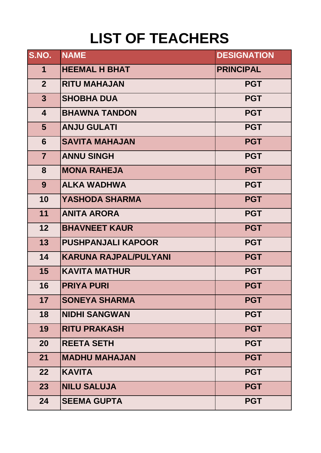## **LIST OF TEACHERS**

| S.NO.                   | <b>NAME</b>                  | <b>DESIGNATION</b> |
|-------------------------|------------------------------|--------------------|
| $\mathbf 1$             | <b>HEEMAL H BHAT</b>         | <b>PRINCIPAL</b>   |
| 2 <sup>1</sup>          | <b>RITU MAHAJAN</b>          | <b>PGT</b>         |
| $3\phantom{a}$          | <b>SHOBHA DUA</b>            | <b>PGT</b>         |
| $\overline{\mathbf{4}}$ | <b>BHAWNA TANDON</b>         | <b>PGT</b>         |
| 5 <sup>5</sup>          | <b>ANJU GULATI</b>           | <b>PGT</b>         |
| $6\phantom{1}$          | <b>SAVITA MAHAJAN</b>        | <b>PGT</b>         |
| $\overline{7}$          | <b>ANNU SINGH</b>            | <b>PGT</b>         |
| 8                       | <b>MONA RAHEJA</b>           | <b>PGT</b>         |
| 9                       | <b>ALKA WADHWA</b>           | <b>PGT</b>         |
| 10                      | <b>YASHODA SHARMA</b>        | <b>PGT</b>         |
| 11                      | <b>ANITA ARORA</b>           | <b>PGT</b>         |
| 12 <sub>2</sub>         | <b>BHAVNEET KAUR</b>         | <b>PGT</b>         |
| 13                      | <b>PUSHPANJALI KAPOOR</b>    | <b>PGT</b>         |
| 14                      | <b>KARUNA RAJPAL/PULYANI</b> | <b>PGT</b>         |
| 15                      | <b>KAVITA MATHUR</b>         | <b>PGT</b>         |
| 16                      | <b>PRIYA PURI</b>            | <b>PGT</b>         |
| 17 <sub>2</sub>         | <b>SONEYA SHARMA</b>         | <b>PGT</b>         |
| 18                      | <b>NIDHI SANGWAN</b>         | <b>PGT</b>         |
| 19                      | <b>RITU PRAKASH</b>          | <b>PGT</b>         |
| 20                      | <b>REETA SETH</b>            | <b>PGT</b>         |
| 21                      | <b>MADHU MAHAJAN</b>         | <b>PGT</b>         |
| 22                      | <b>KAVITA</b>                | <b>PGT</b>         |
| 23                      | <b>NILU SALUJA</b>           | <b>PGT</b>         |
| 24                      | <b>SEEMA GUPTA</b>           | <b>PGT</b>         |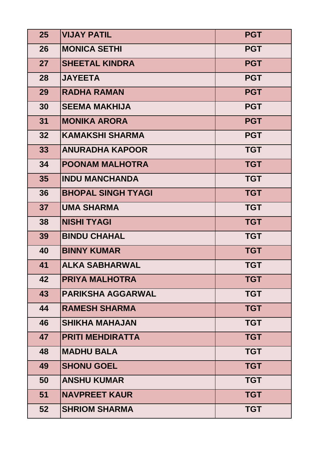| 25 | <b>VIJAY PATIL</b>        | <b>PGT</b> |
|----|---------------------------|------------|
| 26 | <b>MONICA SETHI</b>       | <b>PGT</b> |
| 27 | <b>SHEETAL KINDRA</b>     | <b>PGT</b> |
| 28 | <b>JAYEETA</b>            | <b>PGT</b> |
| 29 | <b>RADHA RAMAN</b>        | <b>PGT</b> |
| 30 | <b>SEEMA MAKHIJA</b>      | <b>PGT</b> |
| 31 | <b>MONIKA ARORA</b>       | <b>PGT</b> |
| 32 | KAMAKSHI SHARMA           | <b>PGT</b> |
| 33 | <b>ANURADHA KAPOOR</b>    | <b>TGT</b> |
| 34 | <b>POONAM MALHOTRA</b>    | <b>TGT</b> |
| 35 | <b>INDU MANCHANDA</b>     | <b>TGT</b> |
| 36 | <b>BHOPAL SINGH TYAGI</b> | <b>TGT</b> |
| 37 | <b>UMA SHARMA</b>         | <b>TGT</b> |
| 38 | <b>NISHI TYAGI</b>        | <b>TGT</b> |
| 39 | <b>BINDU CHAHAL</b>       | <b>TGT</b> |
| 40 | <b>BINNY KUMAR</b>        | <b>TGT</b> |
| 41 | <b>ALKA SABHARWAL</b>     | <b>TGT</b> |
| 42 | <b>PRIYA MALHOTRA</b>     | <b>TGT</b> |
| 43 | <b>PARIKSHA AGGARWAL</b>  | <b>TGT</b> |
| 44 | <b>RAMESH SHARMA</b>      | <b>TGT</b> |
| 46 | <b>SHIKHA MAHAJAN</b>     | <b>TGT</b> |
| 47 | <b>PRITI MEHDIRATTA</b>   | <b>TGT</b> |
| 48 | <b>MADHU BALA</b>         | <b>TGT</b> |
| 49 | <b>SHONU GOEL</b>         | <b>TGT</b> |
| 50 | <b>ANSHU KUMAR</b>        | <b>TGT</b> |
| 51 | <b>NAVPREET KAUR</b>      | <b>TGT</b> |
| 52 | <b>SHRIOM SHARMA</b>      | <b>TGT</b> |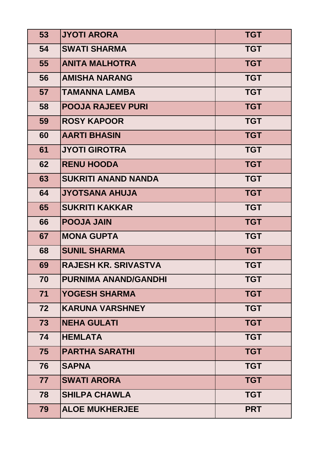| 53 | <b>JYOTI ARORA</b>          | <b>TGT</b> |
|----|-----------------------------|------------|
| 54 | <b>SWATI SHARMA</b>         | <b>TGT</b> |
| 55 | <b>ANITA MALHOTRA</b>       | <b>TGT</b> |
| 56 | <b>AMISHA NARANG</b>        | <b>TGT</b> |
| 57 | <b>TAMANNA LAMBA</b>        | <b>TGT</b> |
| 58 | <b>POOJA RAJEEV PURI</b>    | <b>TGT</b> |
| 59 | <b>ROSY KAPOOR</b>          | <b>TGT</b> |
| 60 | <b>AARTI BHASIN</b>         | <b>TGT</b> |
| 61 | <b>JYOTI GIROTRA</b>        | <b>TGT</b> |
| 62 | <b>RENU HOODA</b>           | <b>TGT</b> |
| 63 | <b>SUKRITI ANAND NANDA</b>  | <b>TGT</b> |
| 64 | <b>JYOTSANA AHUJA</b>       | <b>TGT</b> |
| 65 | <b>SUKRITI KAKKAR</b>       | <b>TGT</b> |
| 66 | <b>POOJA JAIN</b>           | <b>TGT</b> |
| 67 | <b>MONA GUPTA</b>           | <b>TGT</b> |
| 68 | <b>SUNIL SHARMA</b>         | <b>TGT</b> |
| 69 | <b>RAJESH KR. SRIVASTVA</b> | <b>TGT</b> |
| 70 | <b>PURNIMA ANAND/GANDHI</b> | <b>TGT</b> |
| 71 | <b>YOGESH SHARMA</b>        | <b>TGT</b> |
| 72 | <b>KARUNA VARSHNEY</b>      | <b>TGT</b> |
| 73 | <b>NEHA GULATI</b>          | <b>TGT</b> |
| 74 | <b>HEMLATA</b>              | <b>TGT</b> |
| 75 | <b>PARTHA SARATHI</b>       | <b>TGT</b> |
| 76 | <b>SAPNA</b>                | <b>TGT</b> |
| 77 | <b>SWATI ARORA</b>          | <b>TGT</b> |
| 78 | <b>SHILPA CHAWLA</b>        | <b>TGT</b> |
| 79 | <b>ALOE MUKHERJEE</b>       | <b>PRT</b> |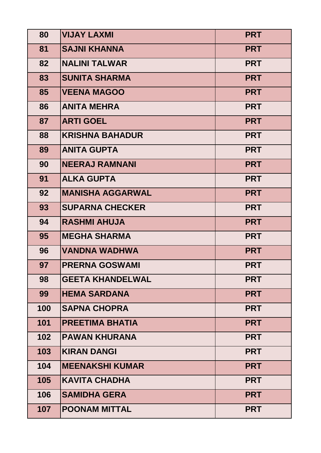| 80  | <b>VIJAY LAXMI</b>      | <b>PRT</b> |
|-----|-------------------------|------------|
| 81  | <b>SAJNI KHANNA</b>     | <b>PRT</b> |
| 82  | <b>NALINI TALWAR</b>    | <b>PRT</b> |
| 83  | <b>SUNITA SHARMA</b>    | <b>PRT</b> |
| 85  | <b>VEENA MAGOO</b>      | <b>PRT</b> |
| 86  | <b>ANITA MEHRA</b>      | <b>PRT</b> |
| 87  | <b>ARTI GOEL</b>        | <b>PRT</b> |
| 88  | <b>KRISHNA BAHADUR</b>  | <b>PRT</b> |
| 89  | <b>ANITA GUPTA</b>      | <b>PRT</b> |
| 90  | <b>NEERAJ RAMNANI</b>   | <b>PRT</b> |
| 91  | <b>ALKA GUPTA</b>       | <b>PRT</b> |
| 92  | <b>MANISHA AGGARWAL</b> | <b>PRT</b> |
| 93  | <b>SUPARNA CHECKER</b>  | <b>PRT</b> |
| 94  | <b>RASHMI AHUJA</b>     | <b>PRT</b> |
| 95  | <b>MEGHA SHARMA</b>     | <b>PRT</b> |
| 96  | <b>VANDNA WADHWA</b>    | <b>PRT</b> |
| 97  | <b>PRERNA GOSWAMI</b>   | <b>PRT</b> |
| 98  | <b>GEETA KHANDELWAL</b> | <b>PRT</b> |
| 99  | <b>HEMA SARDANA</b>     | <b>PRT</b> |
| 100 | <b>SAPNA CHOPRA</b>     | <b>PRT</b> |
| 101 | <b>PREETIMA BHATIA</b>  | <b>PRT</b> |
| 102 | <b>PAWAN KHURANA</b>    | <b>PRT</b> |
| 103 | <b>KIRAN DANGI</b>      | <b>PRT</b> |
| 104 | <b>MEENAKSHI KUMAR</b>  | <b>PRT</b> |
| 105 | <b>KAVITA CHADHA</b>    | <b>PRT</b> |
| 106 | <b>SAMIDHA GERA</b>     | <b>PRT</b> |
| 107 | <b>POONAM MITTAL</b>    | <b>PRT</b> |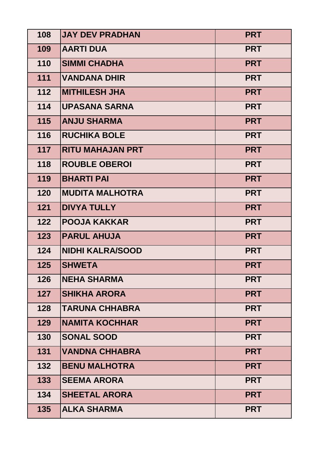| 108 | <b>JAY DEV PRADHAN</b>  | <b>PRT</b> |
|-----|-------------------------|------------|
| 109 | <b>AARTI DUA</b>        | <b>PRT</b> |
| 110 | <b>SIMMI CHADHA</b>     | <b>PRT</b> |
| 111 | <b>VANDANA DHIR</b>     | <b>PRT</b> |
| 112 | <b>MITHILESH JHA</b>    | <b>PRT</b> |
| 114 | <b>UPASANA SARNA</b>    | <b>PRT</b> |
| 115 | <b>ANJU SHARMA</b>      | <b>PRT</b> |
| 116 | <b>RUCHIKA BOLE</b>     | <b>PRT</b> |
| 117 | <b>RITU MAHAJAN PRT</b> | <b>PRT</b> |
| 118 | <b>ROUBLE OBEROI</b>    | <b>PRT</b> |
| 119 | <b>BHARTI PAI</b>       | <b>PRT</b> |
| 120 | <b>MUDITA MALHOTRA</b>  | <b>PRT</b> |
| 121 | <b>DIVYA TULLY</b>      | <b>PRT</b> |
| 122 | <b>POOJA KAKKAR</b>     | <b>PRT</b> |
| 123 | <b>PARUL AHUJA</b>      | <b>PRT</b> |
| 124 | <b>NIDHI KALRA/SOOD</b> | <b>PRT</b> |
| 125 | <b>SHWETA</b>           | <b>PRT</b> |
| 126 | <b>NEHA SHARMA</b>      | <b>PRT</b> |
| 127 | <b>SHIKHA ARORA</b>     | <b>PRT</b> |
| 128 | <b>TARUNA CHHABRA</b>   | <b>PRT</b> |
| 129 | <b>NAMITA KOCHHAR</b>   | <b>PRT</b> |
| 130 | <b>SONAL SOOD</b>       | <b>PRT</b> |
| 131 | <b>VANDNA CHHABRA</b>   | <b>PRT</b> |
| 132 | <b>BENU MALHOTRA</b>    | <b>PRT</b> |
| 133 | <b>SEEMA ARORA</b>      | <b>PRT</b> |
| 134 | <b>SHEETAL ARORA</b>    | <b>PRT</b> |
| 135 | <b>ALKA SHARMA</b>      | <b>PRT</b> |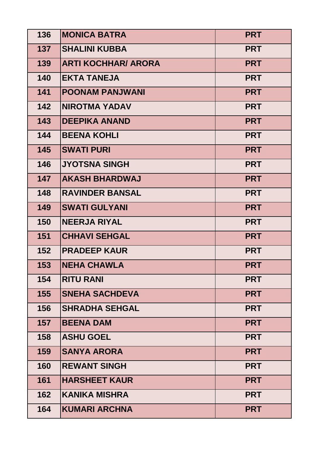| 136 | <b>MONICA BATRA</b>        | <b>PRT</b> |
|-----|----------------------------|------------|
| 137 | <b>SHALINI KUBBA</b>       | <b>PRT</b> |
| 139 | <b>ARTI KOCHHAR/ ARORA</b> | <b>PRT</b> |
| 140 | <b>EKTA TANEJA</b>         | <b>PRT</b> |
| 141 | <b>POONAM PANJWANI</b>     | <b>PRT</b> |
| 142 | <b>NIROTMA YADAV</b>       | <b>PRT</b> |
| 143 | <b>DEEPIKA ANAND</b>       | <b>PRT</b> |
| 144 | <b>BEENA KOHLI</b>         | <b>PRT</b> |
| 145 | <b>SWATI PURI</b>          | <b>PRT</b> |
| 146 | <b>JYOTSNA SINGH</b>       | <b>PRT</b> |
| 147 | <b>AKASH BHARDWAJ</b>      | <b>PRT</b> |
| 148 | <b>RAVINDER BANSAL</b>     | <b>PRT</b> |
| 149 | <b>SWATI GULYANI</b>       | <b>PRT</b> |
| 150 | <b>NEERJA RIYAL</b>        | <b>PRT</b> |
| 151 | <b>CHHAVI SEHGAL</b>       | <b>PRT</b> |
| 152 | <b>PRADEEP KAUR</b>        | <b>PRT</b> |
| 153 | <b>NEHA CHAWLA</b>         | <b>PRT</b> |
| 154 | <b>RITU RANI</b>           | <b>PRT</b> |
| 155 | <b>SNEHA SACHDEVA</b>      | <b>PRT</b> |
| 156 | <b>SHRADHA SEHGAL</b>      | <b>PRT</b> |
| 157 | <b>BEENA DAM</b>           | <b>PRT</b> |
| 158 | <b>ASHU GOEL</b>           | <b>PRT</b> |
| 159 | <b>SANYA ARORA</b>         | <b>PRT</b> |
| 160 | <b>REWANT SINGH</b>        | <b>PRT</b> |
| 161 | <b>HARSHEET KAUR</b>       | <b>PRT</b> |
| 162 | <b>KANIKA MISHRA</b>       | <b>PRT</b> |
| 164 | <b>KUMARI ARCHNA</b>       | <b>PRT</b> |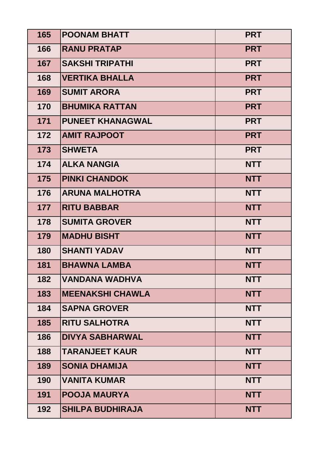| 165 | <b>POONAM BHATT</b>     | <b>PRT</b> |
|-----|-------------------------|------------|
| 166 | <b>RANU PRATAP</b>      | <b>PRT</b> |
| 167 | <b>SAKSHI TRIPATHI</b>  | <b>PRT</b> |
| 168 | <b>VERTIKA BHALLA</b>   | <b>PRT</b> |
| 169 | <b>SUMIT ARORA</b>      | <b>PRT</b> |
| 170 | <b>BHUMIKA RATTAN</b>   | <b>PRT</b> |
| 171 | <b>PUNEET KHANAGWAL</b> | <b>PRT</b> |
| 172 | <b>AMIT RAJPOOT</b>     | <b>PRT</b> |
| 173 | <b>SHWETA</b>           | <b>PRT</b> |
| 174 | <b>ALKA NANGIA</b>      | <b>NTT</b> |
| 175 | <b>PINKI CHANDOK</b>    | <b>NTT</b> |
| 176 | <b>ARUNA MALHOTRA</b>   | <b>NTT</b> |
| 177 | <b>RITU BABBAR</b>      | <b>NTT</b> |
| 178 | <b>SUMITA GROVER</b>    | <b>NTT</b> |
| 179 | <b>MADHU BISHT</b>      | <b>NTT</b> |
| 180 | <b>SHANTI YADAV</b>     | <b>NTT</b> |
| 181 | <b>BHAWNA LAMBA</b>     | <b>NTT</b> |
| 182 | VANDANA WADHVA          | <b>NTT</b> |
| 183 | <b>MEENAKSHI CHAWLA</b> | <b>NTT</b> |
| 184 | <b>SAPNA GROVER</b>     | <b>NTT</b> |
| 185 | <b>RITU SALHOTRA</b>    | <b>NTT</b> |
| 186 | <b>DIVYA SABHARWAL</b>  | <b>NTT</b> |
| 188 | <b>TARANJEET KAUR</b>   | <b>NTT</b> |
| 189 | <b>SONIA DHAMIJA</b>    | <b>NTT</b> |
| 190 | <b>VANITA KUMAR</b>     | <b>NTT</b> |
| 191 | <b>POOJA MAURYA</b>     | <b>NTT</b> |
| 192 | <b>SHILPA BUDHIRAJA</b> | <b>NTT</b> |